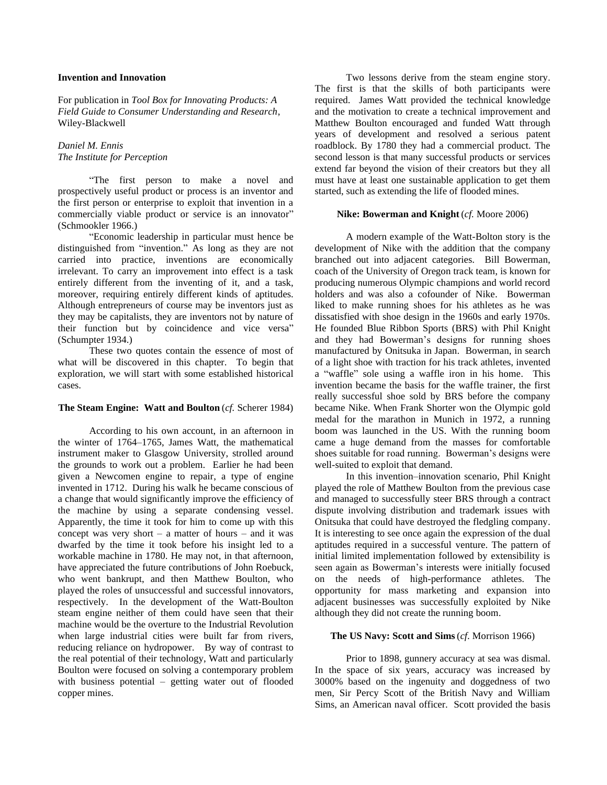## **Invention and Innovation**

For publication in *Tool Box for Innovating Products: A Field Guide to Consumer Understanding and Research*, Wiley-Blackwell

# *Daniel M. Ennis The Institute for Perception*

"The first person to make a novel and prospectively useful product or process is an inventor and the first person or enterprise to exploit that invention in a commercially viable product or service is an innovator" (Schmookler 1966.)

"Economic leadership in particular must hence be distinguished from "invention." As long as they are not carried into practice, inventions are economically irrelevant. To carry an improvement into effect is a task entirely different from the inventing of it, and a task, moreover, requiring entirely different kinds of aptitudes. Although entrepreneurs of course may be inventors just as they may be capitalists, they are inventors not by nature of their function but by coincidence and vice versa" (Schumpter 1934.)

These two quotes contain the essence of most of what will be discovered in this chapter. To begin that exploration, we will start with some established historical cases.

## **The Steam Engine: Watt and Boulton** (*cf.* Scherer 1984)

According to his own account, in an afternoon in the winter of 1764–1765, James Watt, the mathematical instrument maker to Glasgow University, strolled around the grounds to work out a problem. Earlier he had been given a Newcomen engine to repair, a type of engine invented in 1712. During his walk he became conscious of a change that would significantly improve the efficiency of the machine by using a separate condensing vessel. Apparently, the time it took for him to come up with this concept was very short – a matter of hours – and it was dwarfed by the time it took before his insight led to a workable machine in 1780. He may not, in that afternoon, have appreciated the future contributions of John Roebuck, who went bankrupt, and then Matthew Boulton, who played the roles of unsuccessful and successful innovators, respectively. In the development of the Watt-Boulton steam engine neither of them could have seen that their machine would be the overture to the Industrial Revolution when large industrial cities were built far from rivers, reducing reliance on hydropower. By way of contrast to the real potential of their technology, Watt and particularly Boulton were focused on solving a contemporary problem with business potential – getting water out of flooded copper mines.

Two lessons derive from the steam engine story. The first is that the skills of both participants were required. James Watt provided the technical knowledge and the motivation to create a technical improvement and Matthew Boulton encouraged and funded Watt through years of development and resolved a serious patent roadblock. By 1780 they had a commercial product. The second lesson is that many successful products or services extend far beyond the vision of their creators but they all must have at least one sustainable application to get them started, such as extending the life of flooded mines.

### **Nike: Bowerman and Knight** (*cf.* Moore 2006)

A modern example of the Watt-Bolton story is the development of Nike with the addition that the company branched out into adjacent categories. Bill Bowerman, coach of the University of Oregon track team, is known for producing numerous Olympic champions and world record holders and was also a cofounder of Nike. Bowerman liked to make running shoes for his athletes as he was dissatisfied with shoe design in the 1960s and early 1970s. He founded Blue Ribbon Sports (BRS) with Phil Knight and they had Bowerman's designs for running shoes manufactured by Onitsuka in Japan. Bowerman, in search of a light shoe with traction for his track athletes, invented a "waffle" sole using a waffle iron in his home. This invention became the basis for the waffle trainer, the first really successful shoe sold by BRS before the company became Nike. When Frank Shorter won the Olympic gold medal for the marathon in Munich in 1972, a running boom was launched in the US. With the running boom came a huge demand from the masses for comfortable shoes suitable for road running. Bowerman's designs were well-suited to exploit that demand.

In this invention–innovation scenario, Phil Knight played the role of Matthew Boulton from the previous case and managed to successfully steer BRS through a contract dispute involving distribution and trademark issues with Onitsuka that could have destroyed the fledgling company. It is interesting to see once again the expression of the dual aptitudes required in a successful venture. The pattern of initial limited implementation followed by extensibility is seen again as Bowerman's interests were initially focused on the needs of high-performance athletes. The opportunity for mass marketing and expansion into adjacent businesses was successfully exploited by Nike although they did not create the running boom.

### **The US Navy: Scott and Sims**(*cf*. Morrison 1966)

Prior to 1898, gunnery accuracy at sea was dismal. In the space of six years, accuracy was increased by 3000% based on the ingenuity and doggedness of two men, Sir Percy Scott of the British Navy and William Sims, an American naval officer. Scott provided the basis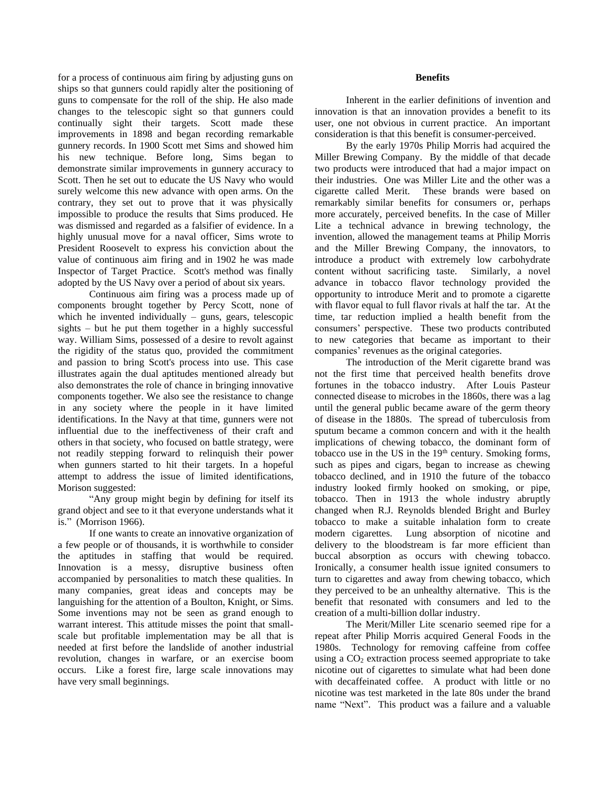for a process of continuous aim firing by adjusting guns on ships so that gunners could rapidly alter the positioning of guns to compensate for the roll of the ship. He also made changes to the telescopic sight so that gunners could continually sight their targets. Scott made these improvements in 1898 and began recording remarkable gunnery records. In 1900 Scott met Sims and showed him his new technique. Before long, Sims began to demonstrate similar improvements in gunnery accuracy to Scott. Then he set out to educate the US Navy who would surely welcome this new advance with open arms. On the contrary, they set out to prove that it was physically impossible to produce the results that Sims produced. He was dismissed and regarded as a falsifier of evidence. In a highly unusual move for a naval officer, Sims wrote to President Roosevelt to express his conviction about the value of continuous aim firing and in 1902 he was made Inspector of Target Practice. Scott's method was finally adopted by the US Navy over a period of about six years.

Continuous aim firing was a process made up of components brought together by Percy Scott, none of which he invented individually – guns, gears, telescopic sights – but he put them together in a highly successful way. William Sims, possessed of a desire to revolt against the rigidity of the status quo, provided the commitment and passion to bring Scott's process into use. This case illustrates again the dual aptitudes mentioned already but also demonstrates the role of chance in bringing innovative components together. We also see the resistance to change in any society where the people in it have limited identifications. In the Navy at that time, gunners were not influential due to the ineffectiveness of their craft and others in that society, who focused on battle strategy, were not readily stepping forward to relinquish their power when gunners started to hit their targets. In a hopeful attempt to address the issue of limited identifications, Morison suggested:

"Any group might begin by defining for itself its grand object and see to it that everyone understands what it is." (Morrison 1966).

If one wants to create an innovative organization of a few people or of thousands, it is worthwhile to consider the aptitudes in staffing that would be required. Innovation is a messy, disruptive business often accompanied by personalities to match these qualities. In many companies, great ideas and concepts may be languishing for the attention of a Boulton, Knight, or Sims. Some inventions may not be seen as grand enough to warrant interest. This attitude misses the point that smallscale but profitable implementation may be all that is needed at first before the landslide of another industrial revolution, changes in warfare, or an exercise boom occurs. Like a forest fire, large scale innovations may have very small beginnings.

## **Benefits**

Inherent in the earlier definitions of invention and innovation is that an innovation provides a benefit to its user, one not obvious in current practice. An important consideration is that this benefit is consumer-perceived.

By the early 1970s Philip Morris had acquired the Miller Brewing Company. By the middle of that decade two products were introduced that had a major impact on their industries. One was Miller Lite and the other was a cigarette called Merit. These brands were based on remarkably similar benefits for consumers or, perhaps more accurately, perceived benefits. In the case of Miller Lite a technical advance in brewing technology, the invention, allowed the management teams at Philip Morris and the Miller Brewing Company, the innovators, to introduce a product with extremely low carbohydrate content without sacrificing taste. Similarly, a novel advance in tobacco flavor technology provided the opportunity to introduce Merit and to promote a cigarette with flavor equal to full flavor rivals at half the tar. At the time, tar reduction implied a health benefit from the consumers' perspective. These two products contributed to new categories that became as important to their companies' revenues as the original categories.

The introduction of the Merit cigarette brand was not the first time that perceived health benefits drove fortunes in the tobacco industry. After Louis Pasteur connected disease to microbes in the 1860s, there was a lag until the general public became aware of the germ theory of disease in the 1880s. The spread of tuberculosis from sputum became a common concern and with it the health implications of chewing tobacco, the dominant form of tobacco use in the US in the  $19<sup>th</sup>$  century. Smoking forms, such as pipes and cigars, began to increase as chewing tobacco declined, and in 1910 the future of the tobacco industry looked firmly hooked on smoking, or pipe, tobacco. Then in 1913 the whole industry abruptly changed when R.J. Reynolds blended Bright and Burley tobacco to make a suitable inhalation form to create modern cigarettes. Lung absorption of nicotine and delivery to the bloodstream is far more efficient than buccal absorption as occurs with chewing tobacco. Ironically, a consumer health issue ignited consumers to turn to cigarettes and away from chewing tobacco, which they perceived to be an unhealthy alternative. This is the benefit that resonated with consumers and led to the creation of a multi-billion dollar industry.

The Merit/Miller Lite scenario seemed ripe for a repeat after Philip Morris acquired General Foods in the 1980s. Technology for removing caffeine from coffee using a  $CO<sub>2</sub>$  extraction process seemed appropriate to take nicotine out of cigarettes to simulate what had been done with decaffeinated coffee. A product with little or no nicotine was test marketed in the late 80s under the brand name "Next". This product was a failure and a valuable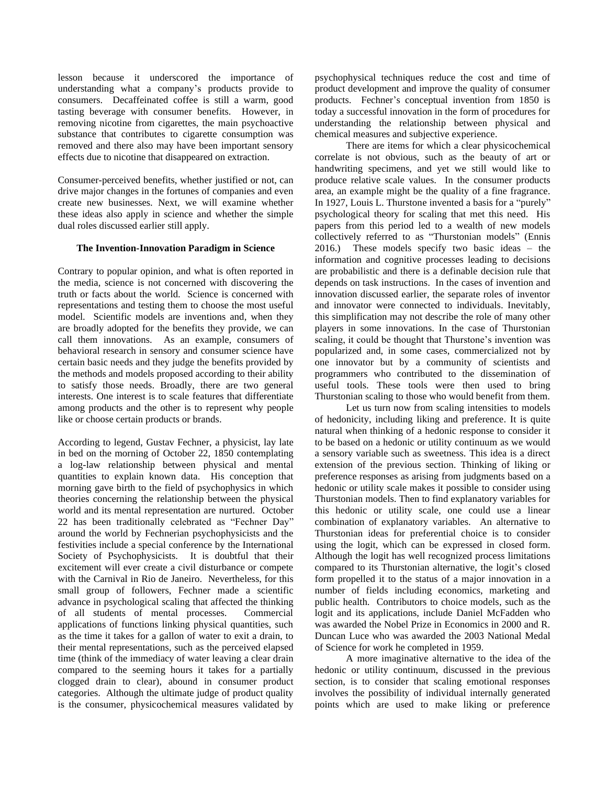lesson because it underscored the importance of understanding what a company's products provide to consumers. Decaffeinated coffee is still a warm, good tasting beverage with consumer benefits. However, in removing nicotine from cigarettes, the main psychoactive substance that contributes to cigarette consumption was removed and there also may have been important sensory effects due to nicotine that disappeared on extraction.

Consumer-perceived benefits, whether justified or not, can drive major changes in the fortunes of companies and even create new businesses. Next, we will examine whether these ideas also apply in science and whether the simple dual roles discussed earlier still apply.

# **The Invention-Innovation Paradigm in Science**

Contrary to popular opinion, and what is often reported in the media, science is not concerned with discovering the truth or facts about the world. Science is concerned with representations and testing them to choose the most useful model. Scientific models are inventions and, when they are broadly adopted for the benefits they provide, we can call them innovations. As an example, consumers of behavioral research in sensory and consumer science have certain basic needs and they judge the benefits provided by the methods and models proposed according to their ability to satisfy those needs. Broadly, there are two general interests. One interest is to scale features that differentiate among products and the other is to represent why people like or choose certain products or brands.

According to legend, Gustav Fechner, a physicist, lay late in bed on the morning of October 22, 1850 contemplating a log-law relationship between physical and mental quantities to explain known data. His conception that morning gave birth to the field of psychophysics in which theories concerning the relationship between the physical world and its mental representation are nurtured. October 22 has been traditionally celebrated as "Fechner Day" around the world by Fechnerian psychophysicists and the festivities include a special conference by the International Society of Psychophysicists. It is doubtful that their excitement will ever create a civil disturbance or compete with the Carnival in Rio de Janeiro. Nevertheless, for this small group of followers, Fechner made a scientific advance in psychological scaling that affected the thinking of all students of mental processes. Commercial applications of functions linking physical quantities, such as the time it takes for a gallon of water to exit a drain, to their mental representations, such as the perceived elapsed time (think of the immediacy of water leaving a clear drain compared to the seeming hours it takes for a partially clogged drain to clear), abound in consumer product categories. Although the ultimate judge of product quality is the consumer, physicochemical measures validated by psychophysical techniques reduce the cost and time of product development and improve the quality of consumer products. Fechner's conceptual invention from 1850 is today a successful innovation in the form of procedures for understanding the relationship between physical and chemical measures and subjective experience.

There are items for which a clear physicochemical correlate is not obvious, such as the beauty of art or handwriting specimens, and yet we still would like to produce relative scale values. In the consumer products area, an example might be the quality of a fine fragrance. In 1927, Louis L. Thurstone invented a basis for a "purely" psychological theory for scaling that met this need. His papers from this period led to a wealth of new models collectively referred to as "Thurstonian models" (Ennis 2016.) These models specify two basic ideas – the information and cognitive processes leading to decisions are probabilistic and there is a definable decision rule that depends on task instructions. In the cases of invention and innovation discussed earlier, the separate roles of inventor and innovator were connected to individuals. Inevitably, this simplification may not describe the role of many other players in some innovations. In the case of Thurstonian scaling, it could be thought that Thurstone's invention was popularized and, in some cases, commercialized not by one innovator but by a community of scientists and programmers who contributed to the dissemination of useful tools. These tools were then used to bring Thurstonian scaling to those who would benefit from them.

Let us turn now from scaling intensities to models of hedonicity, including liking and preference. It is quite natural when thinking of a hedonic response to consider it to be based on a hedonic or utility continuum as we would a sensory variable such as sweetness. This idea is a direct extension of the previous section. Thinking of liking or preference responses as arising from judgments based on a hedonic or utility scale makes it possible to consider using Thurstonian models. Then to find explanatory variables for this hedonic or utility scale, one could use a linear combination of explanatory variables. An alternative to Thurstonian ideas for preferential choice is to consider using the logit, which can be expressed in closed form. Although the logit has well recognized process limitations compared to its Thurstonian alternative, the logit's closed form propelled it to the status of a major innovation in a number of fields including economics, marketing and public health. Contributors to choice models, such as the logit and its applications, include Daniel McFadden who was awarded the Nobel Prize in Economics in 2000 and R. Duncan Luce who was awarded the 2003 National Medal of Science for work he completed in 1959.

A more imaginative alternative to the idea of the hedonic or utility continuum, discussed in the previous section, is to consider that scaling emotional responses involves the possibility of individual internally generated points which are used to make liking or preference